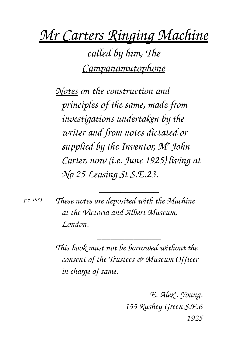*Mr Carters Ringing Machine*

*called by him, The Campanamutophone*

*Notes on the construction and principles of the same, made from investigations undertaken by the writer and from notes dictated or supplied by the Inventor, M<sup>r</sup> John Carter, now (i.e. June 1925) living at No 25 Leasing St S.E.23.*

*p.s. 1935*

*These notes are deposited with the Machine at the Victoria and Albert Museum, London.*

*\_\_\_\_\_\_\_\_\_\_\_*

*This book must not be borrowed without the consent of the Trustees & Museum Officer in charge of same.*

*\_\_\_\_\_\_\_\_\_\_\_\_\_\_*

*E. Alex<sup>r</sup> . Young. 155 Rushey Green S.E.6 1925*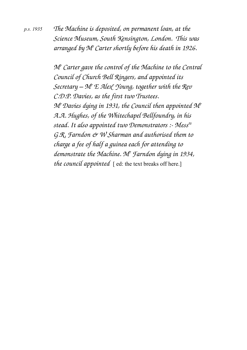*The Machine is deposited, on permanent loan, at the Science Museum, South Kensington, London. This was arranged by M<sup>r</sup>Carter shortly before his death in 1926. p.s. 1935*

> *Mr Carter gave the control of the Machine to the Central Council of Church Bell Ringers, and appointed its Secretary – M<sup>r</sup> E Alex<sup>r</sup> Young, together with the Rev C.D.P. Davies, as the first two Trustees. M<sup>r</sup>Davies dying in 1931, the Council then appointed M<sup>r</sup> A.A. Hughes, of the Whitechapel Bellfoundry, in his stead. It also appointed two Demonstrators : Messrs G.R. Farndon & W Sharman and authorised them to charge a fee of half a guinea each for attending to demonstrate the Machine. M<sup>r</sup> Farndon dying in 1934, the council appointed* [ ed: the text breaks off here.]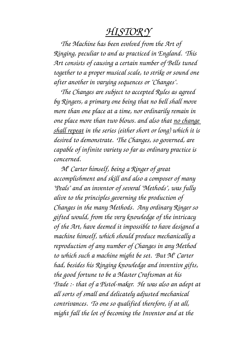## *HISTOR Y*

*The Machine has been evolved from the Art of Ringing, peculiar to and as practiced in England. This Art consists of causing a certain number of Bells tuned together to a proper musical scale, to strike or sound one after another in varying sequences or "Changes".*

*The Changes are subject to accepted Rules as agreed by Ringers, a primary one being that no bell shall move more than one place at a time, nor ordinarily remain in one place more than two blows. and also that no change shall repeat in the series (either short or long) which it is desired to demonstrate. The Changes, so governed, are capable of infinite variety so far as ordinary practice is concerned.*

*Mr Carter himself, being a Ringer of great accomplishment and skill and also a composer of many "Peals" and an inventor of several "Methods", was fully alive to the principles geverning the production of Changes in the many Methods. Any ordinary Ringer so gifted would, from the very knowledge of the intricacy of the Art, have deemed it impossible to have designed a machine himself, which should produce mechanically a reproduction of any number of Changes in any Method to which such a machine might be set. But M<sup>r</sup> Carter had, besides his Ringing knowledge and inventive gifts, the good fortune to be a Master Craftsman at his Trade : that of a Pistol-maker. He was also an adept at all sorts of small and delicately adjusted mechanical contrivances. To one so qualified therefore, if at all, might fall the lot of becoming the Inventor and at the*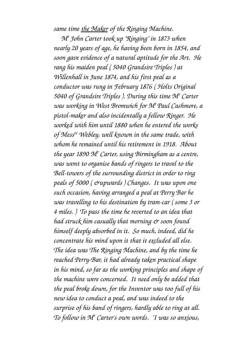*same time the Maker of the Ringing Machine.*

*Mr John Carter took up "Ringing" in 1873 when nearly 20 years of age, he having been born in 1854, and soon gave evidence of a natural aptitude for the Art. He rang his maiden peal ( 5040 Grandsire Triples ) at Willenhall in June 1874, and his first peal as a conductor was rung in February 1876 ( Holts Original 5040 of Grandsire Triples ). During this time M<sup>r</sup> Carter was working in West Bromwich for M<sup>r</sup>Paul Cashmore, a pistolmaker and also incidentally a fellow Ringer. He worked with him until 1880 when he entered the works of Messrs Webley, well known in the same trade, with whom he remained until his retirement in 1918. About the year 1890 M<sup>r</sup> Carter, using Birmingham as a centre, was wont to organise bands of ringers to travel to the* Bell-towers of the surrounding district in order to ring *peals of 5000 ( &upwards ) Changes. It was upon one such occasion, having arranged a peal at Perry Bar he was travelling to his destination by tramcar ( some 3 or 4 miles. ) To pass the time he reverted to an idea that had struck him casually that morning & soon found himself deeply absorbed in it. So much, indeed, did he concentrate his mind upon it that it excluded all else. The idea was The Ringing Machine, and by the time he* reached Perry-Bar, it had already taken practical shape *in his mind, so far as the working principles and shape of the machine were concerned. It need only be added that the peal broke down, for the Inventor was too full of his new idea to conduct a peal, and was indeed to the surprise of his band of ringers, hardly able to ring at all. To follow in M<sup>r</sup> Carter's own words. "I was so anxious,*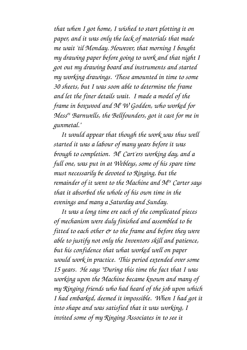*that when I got home, I wished to start plotting it on paper, and it was only the lack of materials that made me wait 'til Monday. However, that morning I bought my drawing paper before going to work and that night I got out my drawing board and instruments and started my working drawings. These amounted in time to some 30 sheets, but I was soon able to determine the frame and let the finer details wait. I made a model of the frame in boxwood and M<sup>r</sup>W Godden, who worked for Messrs Barnwells, the Bellfounders, got it cast for me in gunmetal."*

*It would appear that though the work was thus well started it was a labour of many years before it was brough to completion. M<sup>r</sup> Cart'ers working day, and a full one, was put in at Webleys, some of his spare time must necessarily be devoted to Ringing, but the remainder of it went to the Machine and Mrs Carter says that it absorbed the whole of his own time in the evenings and many a Saturday and Sunday.*

*It was a long time ere each of the complicated pieces of mechanism were duly finished and assembled to be fitted to each other*  $\acute{\mathrm{e}}$  *to the frame and before they were able to justify not only the Inventors skill and patience, but his confidence that what worked well on paper would work in practice. This period extended over some 15 years. He says "During this time the fact that I was working upon the Machine became known and many of my Ringing friends who had heard of the job upon which I had embarked, deemed it impossible. When I had got it into shape and was satisfied that it was working, I invited some of my Ringing Associates in to see it*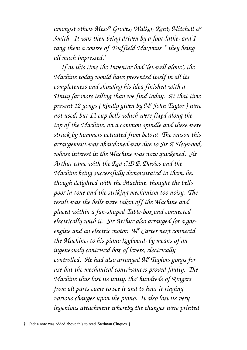*amongst others Messrs Groves, Walker, Kent, Mitchell & Smith. It was then being driven by a foot-lathe, and I rang them a course of 'Duffield Maximus' [†](#page-5-0) they being all much impressed."*

*If at this time the Inventor had "let well alone", the Machine today would have presented itself in all its completeness and showing his idea finished with a Unity far more telling than we find today. At that time present 12 gongs ( kindly given by M<sup>r</sup> John Taylor ) were not used, but 12 cup bells which were fixed along the top of the Machine, on a common spindle and these were struck by hammers actuated from below. The reason this arrangement was abandoned was due to Sir A Heywood, whose interest in the Machine was now quickened. Sir Arthur came with the Rev C.D.P. Davies and the Machine being successfully demonstrated to them, he, though delighted with the Machine, thought the bells poor in tone and the striking mechanism too noisy. The result was the bells were taken off the Machine and* placed within a fan-shaped Table-box and connected *electrically with it. Sir Arthur also arranged for a gasengine and an electric motor. M<sup>r</sup> Carter next connectd the Machine, to his piano keyboard, by means of an ingeneously contrived box of levers, electrically controlled. He had also arranged M<sup>r</sup> Taylors gongs for use but the mechanical contrivances proved faulty. The Machine thus lost its unity, tho' hundreds of Ringers from all parts came to see it and to hear it ringing various changes upon the piano. It also lost its very ingenious attachment whereby the changes were printed*

<span id="page-5-0"></span><sup>†</sup> [ed: a note was added above this to read 'Stedman Cinques' ]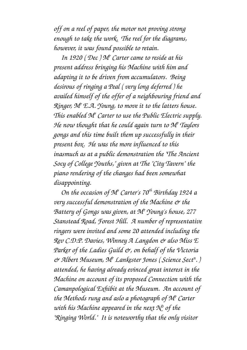*off on a reel of paper, the motor not proving strong enough to take the work. The reel for the diagrams, however, it was found possible to retain.*

*In 1920 ( Dec ) M<sup>r</sup> Carter came to reside at his present address bringing his Machine with him and adapting it to be driven from accumulators. Being desirous of ringing a Peal ( very long deferred ) he availed himself of the offer of a neighbouring friend and Ringer, M<sup>r</sup> E.A. Young, to move it to the latters house. This enabled M<sup>r</sup> Carter to use the Public Electric supply. He now thought that he could again turn to M<sup>r</sup> Taylors gongs and this time built them up successfully in their present box. He was the more influenced to this inasmuch as at a public demonstration the "The Ancient Socy of College Youths," given at The "City Tavern" the piano rendering of the changes had been somewhat disappointing.*

*On the occasion of M<sup>r</sup> Carter's 70th Birthday 1924 a very successful demonstration of the Machine & the Battery of Gongs was given, at M<sup>r</sup> Young's house, 277 Stanstead Road, Forest Hill. A number of representative ringers were invited and some 20 attended including the Rev C.D.P. Davies, Winney A Langdon & also Miss E Parker of the Ladies Guild &, on behalf of the Victoria & Albert Museum, M<sup>r</sup> Lankester Jones ( Science Sect<sup>n</sup> . ) attended, he having already evinced great interest in the Machine on account of its proposed Connection with the Camanpological Exhibit at the Museum. An account of the Methods rung and aslo a photograph of M<sup>r</sup> Carter with his Machine appeared in the next N<sup>o</sup> of the "Ringing World." It is noteworthy that the only visitor*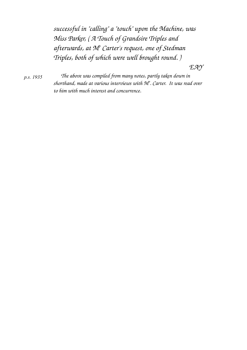*successful in "calling" a "touch" upon the Machine, was Miss Parker, ( A Touch of Grandsire Triples and afterwards, at M<sup>r</sup> Carter's request, one of Stedman Triples, both of which were well brought round. )*

*EAY*

*p.s. 1935*

*The above was compiled from many notes, partly taken down in shorthand, made at various interviews with M<sup>r</sup> . Carter. It was read over to him with much interest and concurrence.*